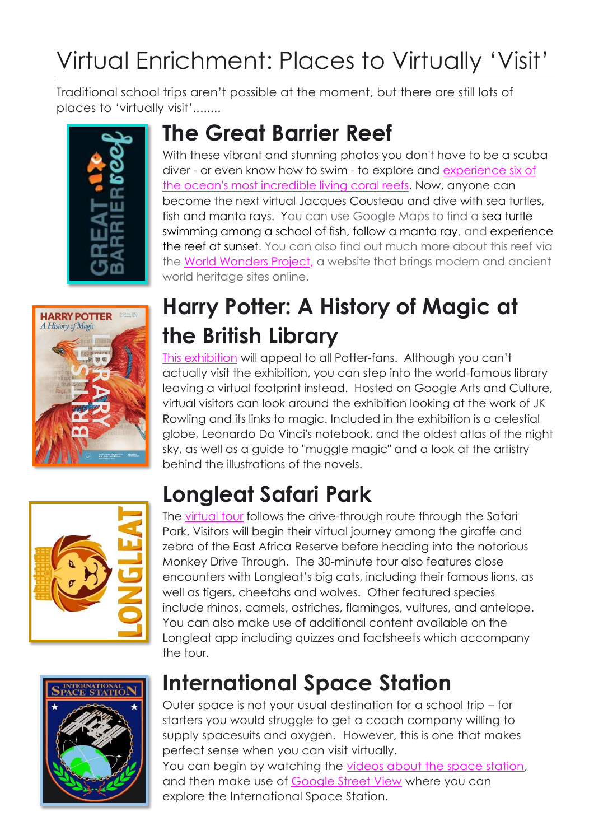# Virtual Enrichment: Places to Virtually 'Visit'

Traditional school trips aren't possible at the moment, but there are still lots of places to 'virtually visit'........





### **The Great Barrier Reef**

With these vibrant and stunning photos you don't have to be a scuba diver - or even know how to swim - to explore and [experience six of](https://greatbarrierreef.com.au/explore-the-great-barrier-reef-with-google/)  [the ocean's most incredible living coral reefs.](https://greatbarrierreef.com.au/explore-the-great-barrier-reef-with-google/) Now, anyone can become the next virtual Jacques Cousteau and dive with sea turtles, fish and manta rays. You can use Google Maps to find a sea turtle swimming among a school of fish, follow a manta ray, and experience the reef at sunset. You can also find out much more about this reef via the [World Wonders Project,](https://artsandculture.google.com/partner/catlin-seaview-survey?hl=en) a website that brings modern and ancient world heritage sites online.

## **Harry Potter: A History of Magic at the British Library**

[This exhibition](https://artsandculture.google.com/project/harry-potter-a-history-of-magic) will appeal to all Potter-fans. Although you can't actually visit the exhibition, you can step into the world-famous library leaving a virtual footprint instead. Hosted on Google Arts and Culture, virtual visitors can look around the exhibition looking at the work of JK Rowling and its links to magic. Included in the exhibition is a celestial globe, Leonardo Da Vinci's notebook, and the oldest atlas of the night sky, as well as a guide to "muggle magic" and a look at the artistry behind the illustrations of the novels.

# **Longleat Safari Park**



The [virtual tour](https://www.longleat.co.uk/news/longleat-launches-virtual-safari) follows the drive-through route through the Safari Park. Visitors will begin their virtual journey among the giraffe and zebra of the East Africa Reserve before heading into the notorious Monkey Drive Through. The 30-minute tour also features close encounters with Longleat's big cats, including their famous lions, as well as tigers, cheetahs and wolves. Other featured species include rhinos, camels, ostriches, flamingos, vultures, and antelope. You can also make use of additional content available on the Longleat app including quizzes and factsheets which accompany the tour.



### **International Space Station**

Outer space is not your usual destination for a school trip – for starters you would struggle to get a coach company willing to supply spacesuits and oxygen. However, this is one that makes perfect sense when you can visit virtually.

You can begin by watching the [videos about the space station,](https://www.nasa.gov/mission_pages/station/main/suni_iss_tour.html) and then make use of [Google Street View](https://earth.google.com/web/@20.97061992,-71.07595792,-3157.00935605a,16580113.29053662d,35y,355.99988393h,0t,0r/data=Ci4SLBIgN2Y3ZTA1ZTg2Y2E1MTFlNzk5YzI1YjJmNTFhNjA3NTIiCG92ZXJ2aWV3) where you can explore the International Space Station.